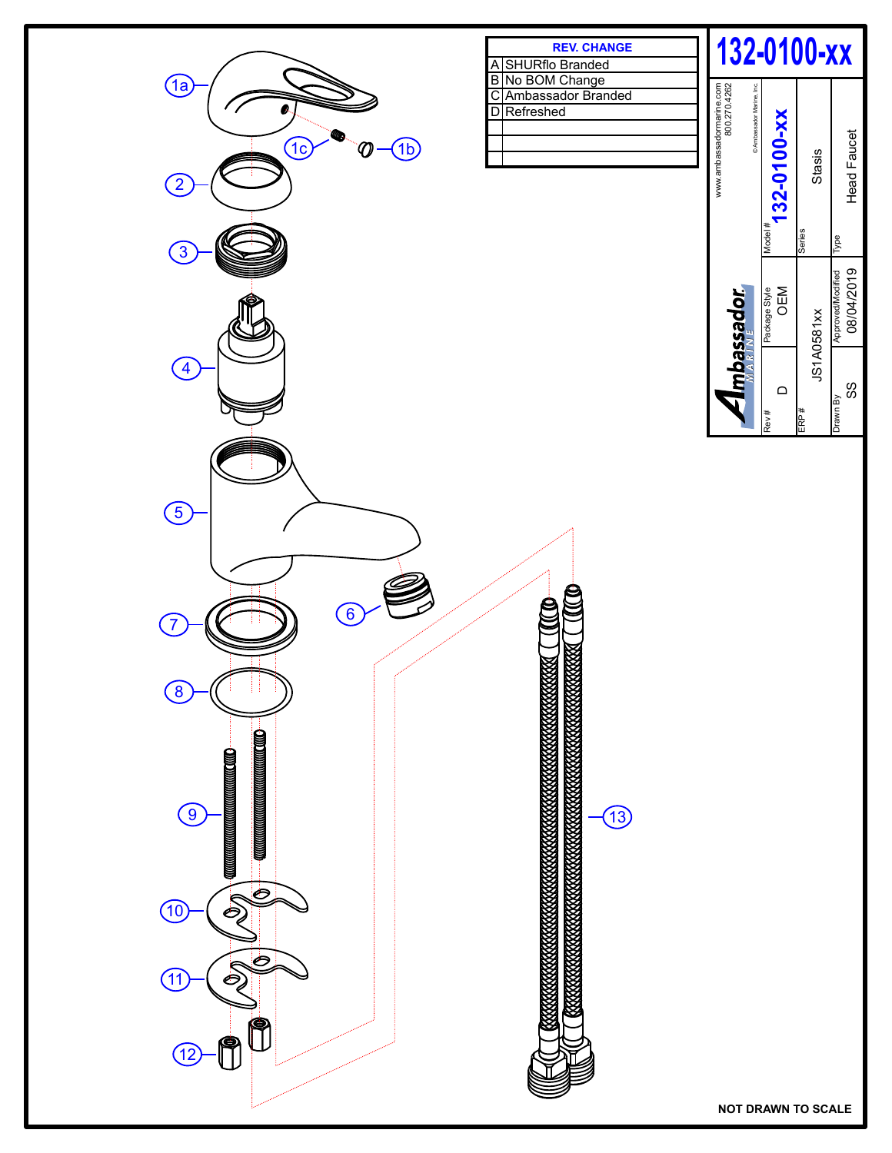